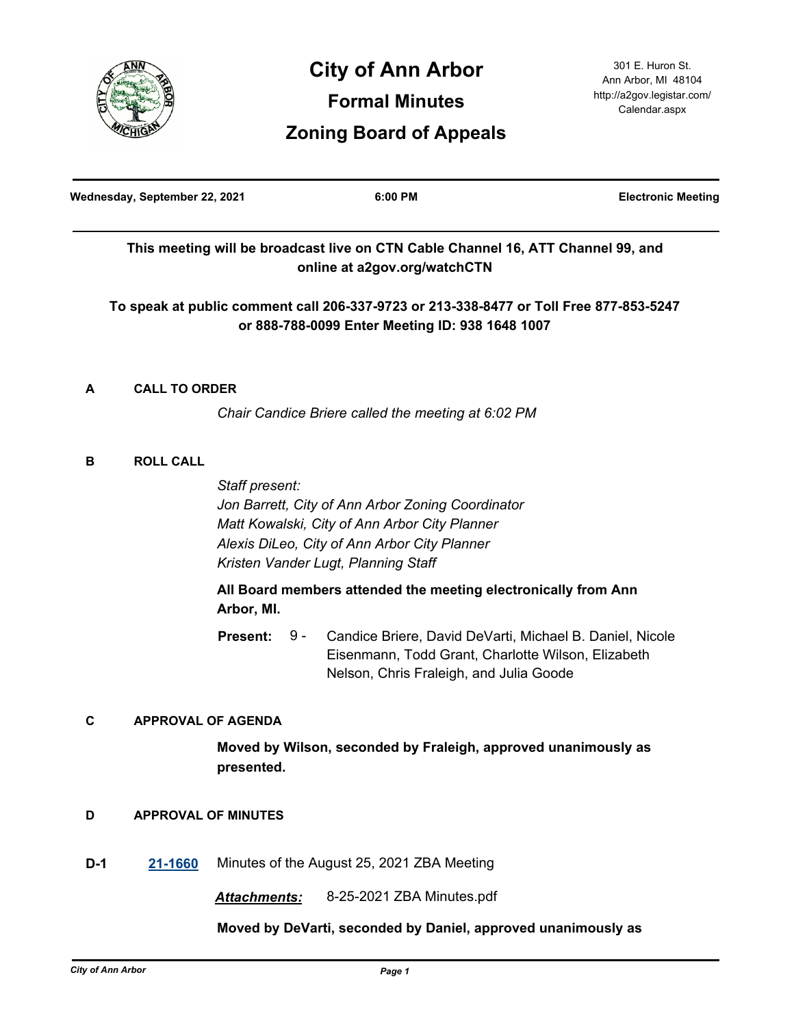

# **City of Ann Arbor Formal Minutes Zoning Board of Appeals**

| Wednesday, September 22, 2021 |                                                    |                                                                                                                                                                                                                                                                                                                                                                                   | 6:00 PM                                                                                                                                   | <b>Electronic Meeting</b> |
|-------------------------------|----------------------------------------------------|-----------------------------------------------------------------------------------------------------------------------------------------------------------------------------------------------------------------------------------------------------------------------------------------------------------------------------------------------------------------------------------|-------------------------------------------------------------------------------------------------------------------------------------------|---------------------------|
|                               |                                                    |                                                                                                                                                                                                                                                                                                                                                                                   | This meeting will be broadcast live on CTN Cable Channel 16, ATT Channel 99, and<br>online at a2gov.org/watchCTN                          |                           |
|                               |                                                    |                                                                                                                                                                                                                                                                                                                                                                                   | To speak at public comment call 206-337-9723 or 213-338-8477 or Toll Free 877-853-5247<br>or 888-788-0099 Enter Meeting ID: 938 1648 1007 |                           |
| A                             | <b>CALL TO ORDER</b>                               |                                                                                                                                                                                                                                                                                                                                                                                   |                                                                                                                                           |                           |
|                               | Chair Candice Briere called the meeting at 6:02 PM |                                                                                                                                                                                                                                                                                                                                                                                   |                                                                                                                                           |                           |
| B                             | <b>ROLL CALL</b>                                   | Staff present:<br>Jon Barrett, City of Ann Arbor Zoning Coordinator<br>Matt Kowalski, City of Ann Arbor City Planner<br>Alexis DiLeo, City of Ann Arbor City Planner<br>Kristen Vander Lugt, Planning Staff<br>All Board members attended the meeting electronically from Ann<br>Arbor, MI.<br><b>Present:</b><br>9 -<br>Candice Briere, David DeVarti, Michael B. Daniel, Nicole |                                                                                                                                           |                           |
| С                             |                                                    | <b>APPROVAL OF AGENDA</b>                                                                                                                                                                                                                                                                                                                                                         | Eisenmann, Todd Grant, Charlotte Wilson, Elizabeth<br>Nelson, Chris Fraleigh, and Julia Goode                                             |                           |

# **Moved by Wilson, seconded by Fraleigh, approved unanimously as presented.**

# **D APPROVAL OF MINUTES**

**D-1 [21-1660](http://a2gov.legistar.com/gateway.aspx?M=L&ID=28586)** Minutes of the August 25, 2021 ZBA Meeting

*Attachments:* 8-25-2021 ZBA Minutes.pdf

# **Moved by DeVarti, seconded by Daniel, approved unanimously as**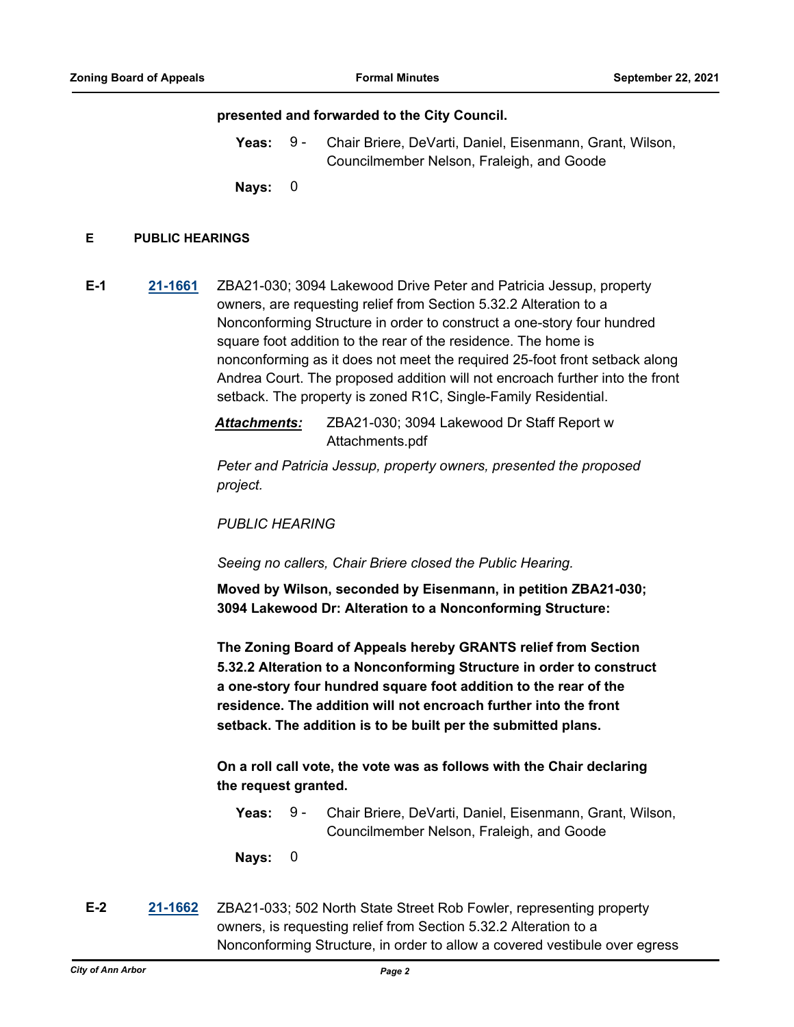#### **presented and forwarded to the City Council.**

Yeas: 9 - Chair Briere, DeVarti, Daniel, Eisenmann, Grant, Wilson, Councilmember Nelson, Fraleigh, and Goode 9 -

**Nays:** 0

#### **E PUBLIC HEARINGS**

**E-1 [21-1661](http://a2gov.legistar.com/gateway.aspx?M=L&ID=28587)** ZBA21-030; 3094 Lakewood Drive Peter and Patricia Jessup, property owners, are requesting relief from Section 5.32.2 Alteration to a Nonconforming Structure in order to construct a one-story four hundred square foot addition to the rear of the residence. The home is nonconforming as it does not meet the required 25-foot front setback along Andrea Court. The proposed addition will not encroach further into the front setback. The property is zoned R1C, Single-Family Residential.

> *Attachments:* ZBA21-030; 3094 Lakewood Dr Staff Report w Attachments.pdf

*Peter and Patricia Jessup, property owners, presented the proposed project.* 

*PUBLIC HEARING*

*Seeing no callers, Chair Briere closed the Public Hearing.*

**Moved by Wilson, seconded by Eisenmann, in petition ZBA21-030; 3094 Lakewood Dr: Alteration to a Nonconforming Structure:**

**The Zoning Board of Appeals hereby GRANTS relief from Section 5.32.2 Alteration to a Nonconforming Structure in order to construct a one-story four hundred square foot addition to the rear of the residence. The addition will not encroach further into the front setback. The addition is to be built per the submitted plans.**

**On a roll call vote, the vote was as follows with the Chair declaring the request granted.**

Yeas: 9 - Chair Briere, DeVarti, Daniel, Eisenmann, Grant, Wilson, Councilmember Nelson, Fraleigh, and Goode  $9 -$ 

**Nays:** 0

**E-2 [21-1662](http://a2gov.legistar.com/gateway.aspx?M=L&ID=28588)** ZBA21-033; 502 North State Street Rob Fowler, representing property owners, is requesting relief from Section 5.32.2 Alteration to a Nonconforming Structure, in order to allow a covered vestibule over egress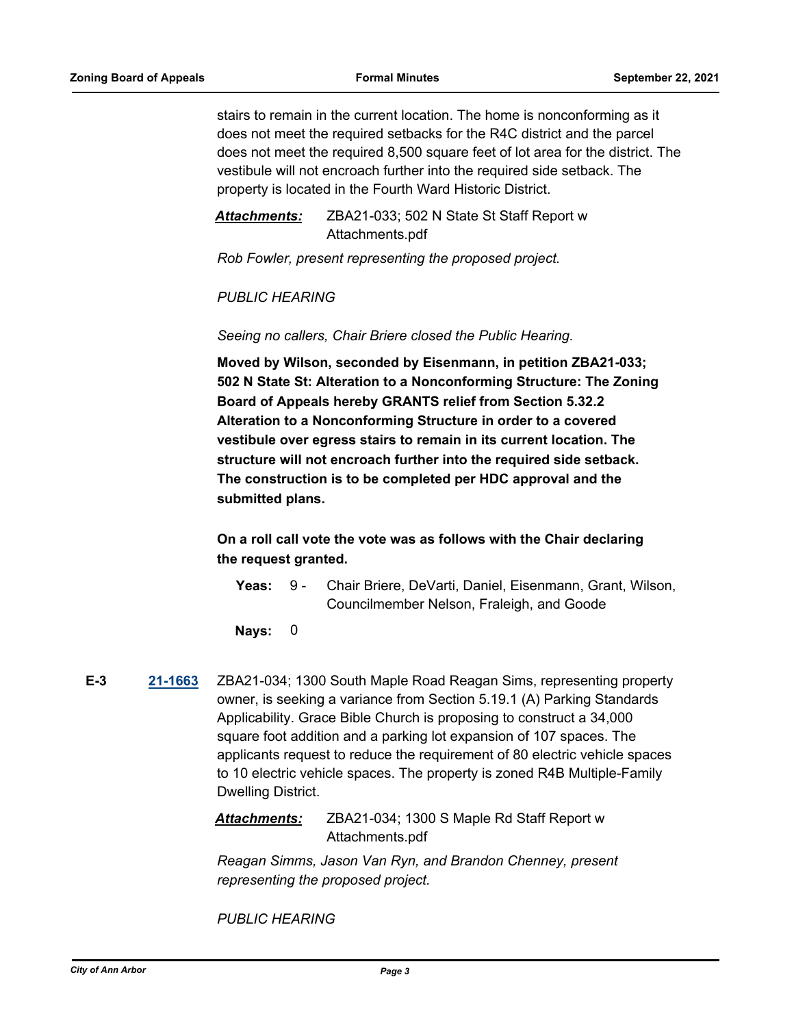stairs to remain in the current location. The home is nonconforming as it does not meet the required setbacks for the R4C district and the parcel does not meet the required 8,500 square feet of lot area for the district. The vestibule will not encroach further into the required side setback. The property is located in the Fourth Ward Historic District.

*Attachments:* ZBA21-033; 502 N State St Staff Report w Attachments.pdf

*Rob Fowler, present representing the proposed project.* 

*PUBLIC HEARING* 

*Seeing no callers, Chair Briere closed the Public Hearing.*

**Moved by Wilson, seconded by Eisenmann, in petition ZBA21-033; 502 N State St: Alteration to a Nonconforming Structure: The Zoning Board of Appeals hereby GRANTS relief from Section 5.32.2 Alteration to a Nonconforming Structure in order to a covered vestibule over egress stairs to remain in its current location. The structure will not encroach further into the required side setback. The construction is to be completed per HDC approval and the submitted plans.**

**On a roll call vote the vote was as follows with the Chair declaring the request granted.**

Yeas: 9 - Chair Briere, DeVarti, Daniel, Eisenmann, Grant, Wilson, Councilmember Nelson, Fraleigh, and Goode  $9 -$ 

**Nays:** 0

**E-3 [21-1663](http://a2gov.legistar.com/gateway.aspx?M=L&ID=28589)** ZBA21-034; 1300 South Maple Road Reagan Sims, representing property owner, is seeking a variance from Section 5.19.1 (A) Parking Standards Applicability. Grace Bible Church is proposing to construct a 34,000 square foot addition and a parking lot expansion of 107 spaces. The applicants request to reduce the requirement of 80 electric vehicle spaces to 10 electric vehicle spaces. The property is zoned R4B Multiple-Family Dwelling District.

> *Attachments:* ZBA21-034; 1300 S Maple Rd Staff Report w Attachments.pdf

*Reagan Simms, Jason Van Ryn, and Brandon Chenney, present representing the proposed project.* 

*PUBLIC HEARING*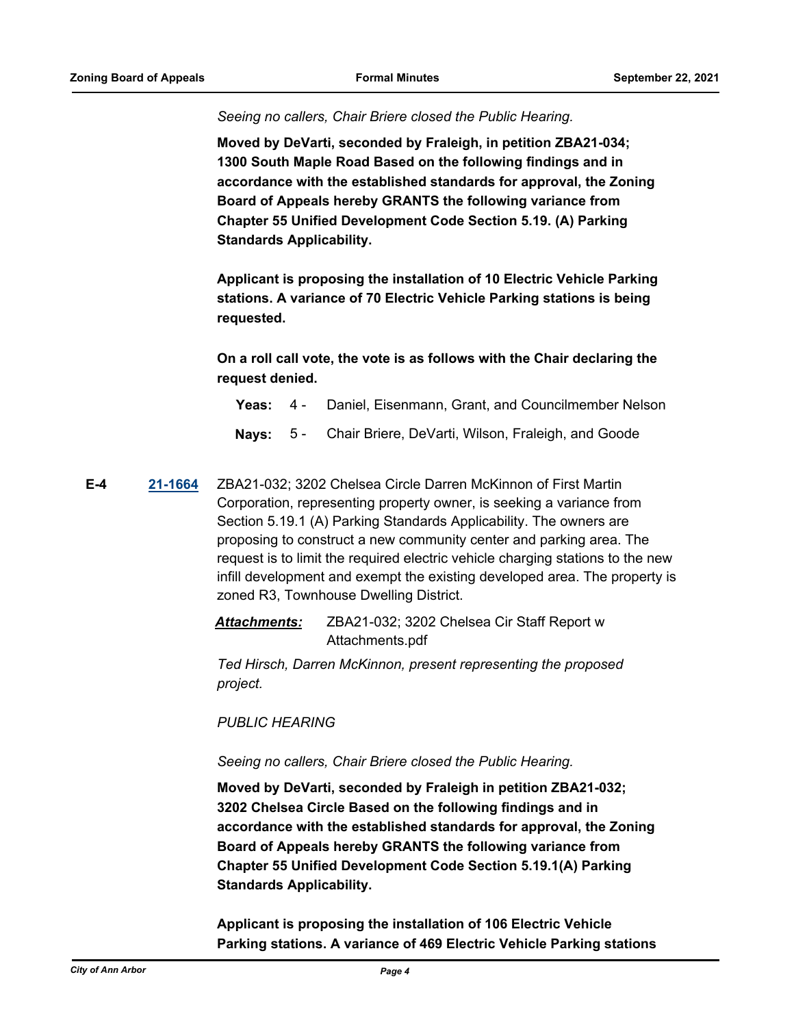*Seeing no callers, Chair Briere closed the Public Hearing.*

**Moved by DeVarti, seconded by Fraleigh, in petition ZBA21-034; 1300 South Maple Road Based on the following findings and in accordance with the established standards for approval, the Zoning Board of Appeals hereby GRANTS the following variance from Chapter 55 Unified Development Code Section 5.19. (A) Parking Standards Applicability.**

**Applicant is proposing the installation of 10 Electric Vehicle Parking stations. A variance of 70 Electric Vehicle Parking stations is being requested.**

**On a roll call vote, the vote is as follows with the Chair declaring the request denied.**

- **Yeas:** 4 Daniel, Eisenmann, Grant, and Councilmember Nelson
- **Nays:** 5 Chair Briere, DeVarti, Wilson, Fraleigh, and Goode
- **E-4 [21-1664](http://a2gov.legistar.com/gateway.aspx?M=L&ID=28590)** ZBA21-032; 3202 Chelsea Circle Darren McKinnon of First Martin Corporation, representing property owner, is seeking a variance from Section 5.19.1 (A) Parking Standards Applicability. The owners are proposing to construct a new community center and parking area. The request is to limit the required electric vehicle charging stations to the new infill development and exempt the existing developed area. The property is zoned R3, Townhouse Dwelling District.

*Attachments:* ZBA21-032; 3202 Chelsea Cir Staff Report w Attachments.pdf

*Ted Hirsch, Darren McKinnon, present representing the proposed project.* 

*PUBLIC HEARING*

*Seeing no callers, Chair Briere closed the Public Hearing.*

**Moved by DeVarti, seconded by Fraleigh in petition ZBA21-032; 3202 Chelsea Circle Based on the following findings and in accordance with the established standards for approval, the Zoning Board of Appeals hereby GRANTS the following variance from Chapter 55 Unified Development Code Section 5.19.1(A) Parking Standards Applicability.**

**Applicant is proposing the installation of 106 Electric Vehicle Parking stations. A variance of 469 Electric Vehicle Parking stations**